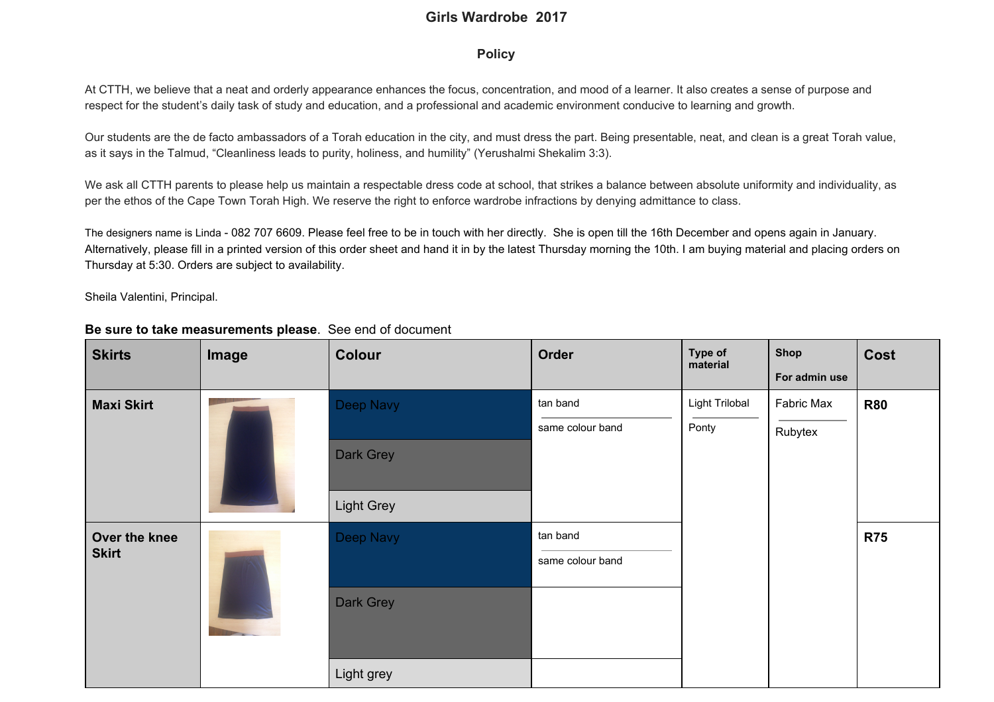## **Girls Wardrobe 2017**

## **Policy**

At CTTH, we believe that a neat and orderly appearance enhances the focus, concentration, and mood of a learner. It also creates a sense of purpose and respect for the student's daily task of study and education, and a professional and academic environment conducive to learning and growth.

Our students are the de facto ambassadors of a Torah education in the city, and must dress the part. Being presentable, neat, and clean is a great Torah value, as it says in the Talmud, "Cleanliness leads to purity, holiness, and humility" (Yerushalmi Shekalim 3:3).

We ask all CTTH parents to please help us maintain a respectable dress code at school, that strikes a balance between absolute uniformity and individuality, as per the ethos of the Cape Town Torah High. We reserve the right to enforce wardrobe infractions by denying admittance to class.

The designers name is Linda - 082 707 6609. Please feel free to be in touch with her directly. She is open till the 16th December and opens again in January. Alternatively, please fill in a printed version of this order sheet and hand it in by the latest Thursday morning the 10th. I am buying material and placing orders on Thursday at 5:30. Orders are subject to availability.

Sheila Valentini, Principal.

| <b>Skirts</b>                 | Image | Colour     | Order                        | Type of<br>material     | <b>Shop</b><br>For admin use | Cost       |
|-------------------------------|-------|------------|------------------------------|-------------------------|------------------------------|------------|
| <b>Maxi Skirt</b>             |       | Deep Navy  | tan band<br>same colour band | Light Trilobal<br>Ponty | Fabric Max<br>Rubytex        | <b>R80</b> |
|                               |       | Dark Grey  |                              |                         |                              |            |
|                               |       | Light Grey |                              |                         |                              |            |
| Over the knee<br><b>Skirt</b> |       | Deep Navy  | tan band<br>same colour band |                         |                              | <b>R75</b> |
|                               |       | Dark Grey  |                              |                         |                              |            |
|                               |       | Light grey |                              |                         |                              |            |

## **Be sure to take measurements please**. See end of document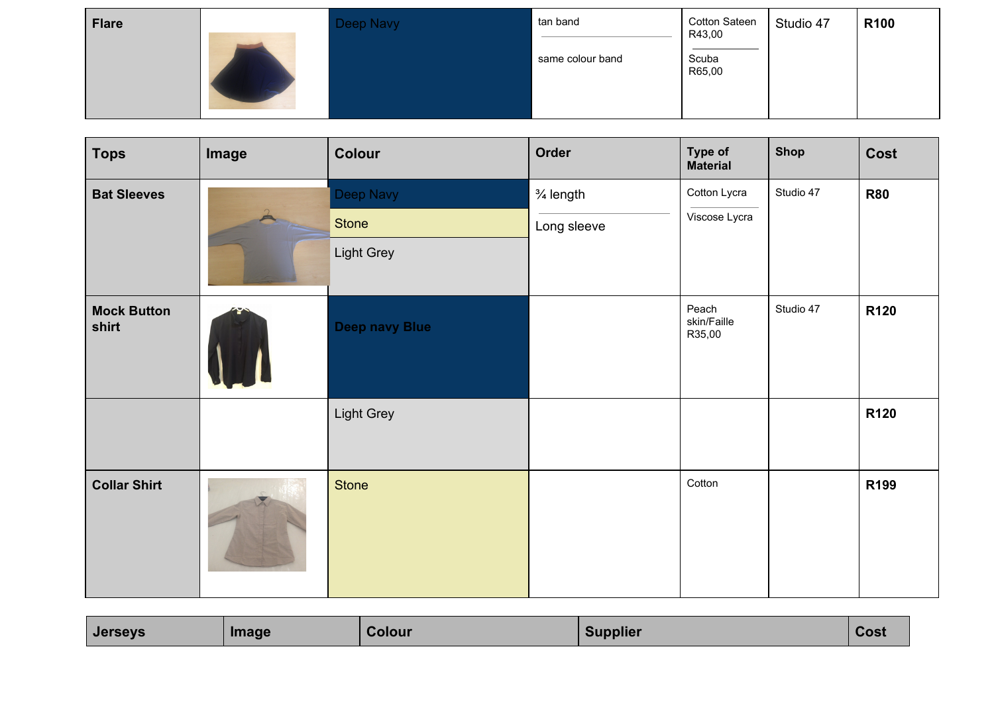| <b>Flare</b> | Deep Navy | tan band         | Cotton Sateen<br>R43,00 | Studio 47 | <b>R100</b> |
|--------------|-----------|------------------|-------------------------|-----------|-------------|
|              |           | same colour band | Scuba<br>R65,00         |           |             |

| <b>Tops</b>                 | Image | Colour                | Order                | Type of<br><b>Material</b>     | <b>Shop</b> | Cost             |
|-----------------------------|-------|-----------------------|----------------------|--------------------------------|-------------|------------------|
| <b>Bat Sleeves</b>          |       | Deep Navy             | $\frac{3}{4}$ length | Cotton Lycra                   | Studio 47   | <b>R80</b>       |
|                             |       | Stone                 | Long sleeve          | Viscose Lycra                  |             |                  |
|                             |       | Light Grey            |                      |                                |             |                  |
| <b>Mock Button</b><br>shirt |       | <b>Deep navy Blue</b> |                      | Peach<br>skin/Faille<br>R35,00 | Studio 47   | <b>R120</b>      |
|                             |       | Light Grey            |                      |                                |             | R120             |
| <b>Collar Shirt</b>         |       | Stone                 |                      | Cotton                         |             | R <sub>199</sub> |

| Supplier<br>Colour<br><b>Image</b><br><b>COSL</b> |  | <b>Jerseys</b> |  |  |  |  |
|---------------------------------------------------|--|----------------|--|--|--|--|
|---------------------------------------------------|--|----------------|--|--|--|--|